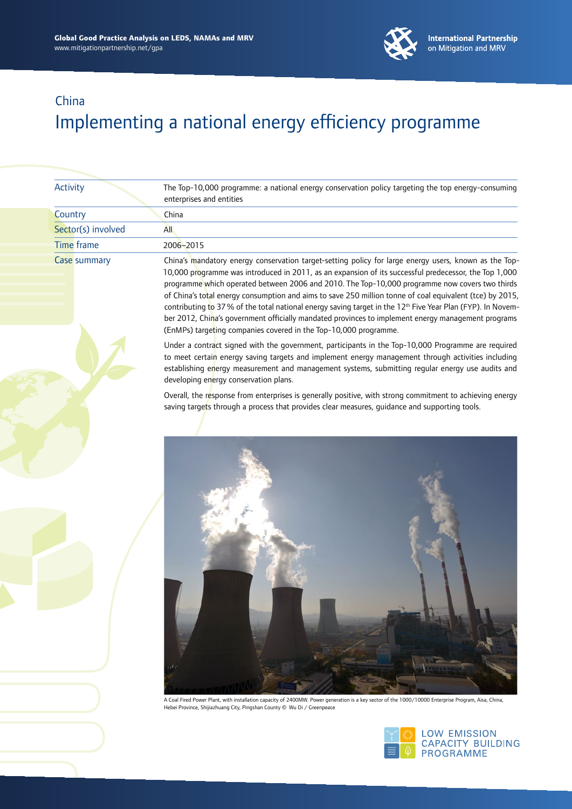

| <b>Activity</b>    | The Top-10,000 programme: a national energy conservation policy targeting the top energy-consuming<br>enterprises and entities                                                                                                                                                                                                                                                                                                                                                                                                                                                                                                                                                                                                   |
|--------------------|----------------------------------------------------------------------------------------------------------------------------------------------------------------------------------------------------------------------------------------------------------------------------------------------------------------------------------------------------------------------------------------------------------------------------------------------------------------------------------------------------------------------------------------------------------------------------------------------------------------------------------------------------------------------------------------------------------------------------------|
| Country            | China                                                                                                                                                                                                                                                                                                                                                                                                                                                                                                                                                                                                                                                                                                                            |
| Sector(s) involved | <b>All</b>                                                                                                                                                                                                                                                                                                                                                                                                                                                                                                                                                                                                                                                                                                                       |
| <b>Time</b> frame  | 2006-2015                                                                                                                                                                                                                                                                                                                                                                                                                                                                                                                                                                                                                                                                                                                        |
| Case summary       | China's mandatory energy conservation target-setting policy for large energy users, known as the Top-<br>10,000 programme was introduced in 2011, as an expansion of its successful predecessor, the Top 1,000<br>programme which operated between 2006 and 2010. The Top-10,000 programme now covers two thirds<br>of China's total energy consumption and aims to save 250 million tonne of coal equivalent (tce) by 2015,<br>contributing to 37% of the total national energy saving target in the 12 <sup>th</sup> Five Year Plan (FYP). In Novem-<br>ber 2012, China's government officially mandated provinces to implement energy management programs<br>(EnMPs) targeting companies covered in the Top-10,000 programme. |
|                    | Under a contract signed with the government, participants in the Top-10,000 Programme are required<br>to meet certain energy saving targets and implement energy management through activities including<br>establishing energy measurement and management systems, submitting regular energy use audits and<br>developing energy conservation plans.                                                                                                                                                                                                                                                                                                                                                                            |
|                    | Overall, the response from enterprises is generally positive, with strong commitment to achieving energy<br>saving targets through a process that provides clear measures, guidance and supporting tools.                                                                                                                                                                                                                                                                                                                                                                                                                                                                                                                        |
|                    | A Coal Fired Power Plant, with installation capacity of 2400MW. Power generation is a key sector of the 1000/10000 Enterprise Program, Aisa, China,<br>Hebei Province, Shijiazhuang City, Pingshan County © Wu Di / Greenpeace                                                                                                                                                                                                                                                                                                                                                                                                                                                                                                   |

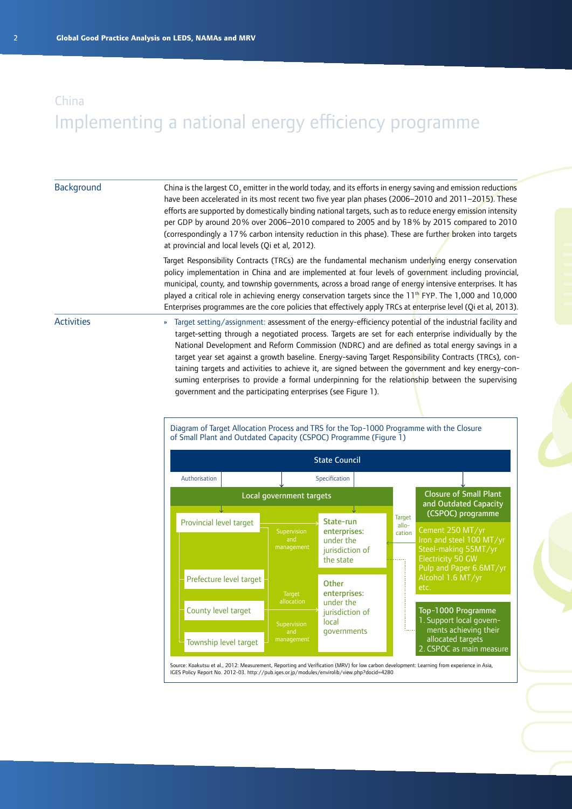#### **Background**

China is the largest CO<sub>2</sub> emitter in the world today, and its efforts in energy saving and emission reductions have been accelerated in its most recent two five year plan phases (2006–2010 and 2011–2015). These efforts are supported by domestically binding national targets, such as to reduce energy emission intensity per GDP by around 20% over 2006–2010 compared to 2005 and by 18% by 2015 compared to 2010 (correspondingly a 17% carbon intensity reduction in this phase). These are further broken into targets at provincial and local levels (Qi et al, 2012).

Target Responsibility Contracts (TRCs) are the fundamental mechanism underlying energy conservation policy implementation in China and are implemented at four levels of government including provincial, municipal, county, and township governments, across a broad range of energy intensive enterprises. It has played a critical role in achieving energy conservation targets since the 11<sup>th</sup> FYP. The 1,000 and 10,000 Enterprises programmes are the core policies that effectively apply TRCs at enterprise level (Qi et al, 2013).

#### **Activities**

» Target setting/assignment: assessment of the energy-efficiency potential of the industrial facility and target-setting through a negotiated process. Targets are set for each enterprise individually by the National Development and Reform Commission (NDRC) and are defined as total energy savings in a target year set against a growth baseline. Energy-saving Target Responsibility Contracts (TRCs), containing targets and activities to achieve it, are signed between the government and key energy-consuming enterprises to provide a formal underpinning for the relationship between the supervising government and the participating enterprises (see Figure 1).

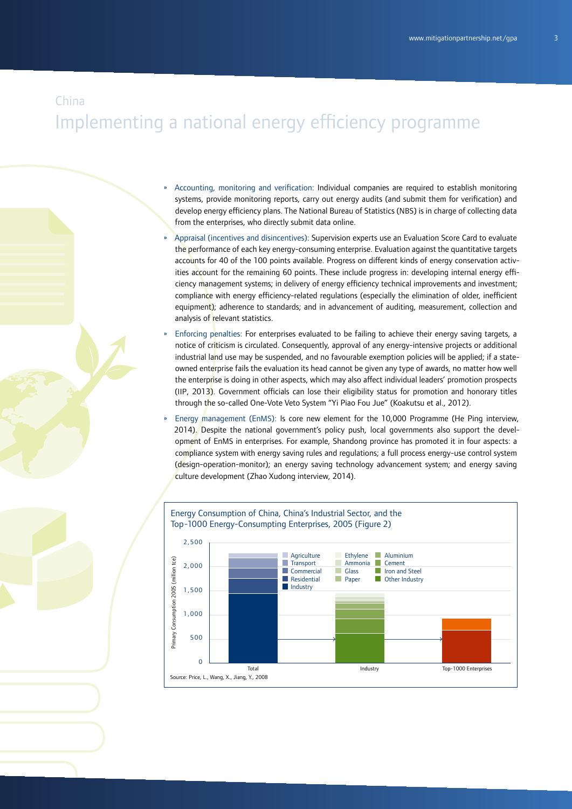# Implementing a national energy efficiency programme

- » Accounting, monitoring and verification: Individual companies are required to establish monitoring systems, provide monitoring reports, carry out energy audits (and submit them for verification) and develop energy efficiency plans. The National Bureau of Statistics (NBS) is in charge of collecting data from the enterprises, who directly submit data online.
- » Appraisal (incentives and disincentives): Supervision experts use an Evaluation Score Card to evaluate the performance of each key energy-consuming enterprise. Evaluation against the quantitative targets accounts for 40 of the 100 points available. Progress on different kinds of energy conservation activities account for the remaining 60 points. These include progress in: developing internal energy efficiency management systems; in delivery of energy efficiency technical improvements and investment; compliance with energy efficiency-related regulations (especially the elimination of older, inefficient equipment); adherence to standards; and in advancement of auditing, measurement, collection and analysis of relevant statistics.
- Enforcing penalties: For enterprises evaluated to be failing to achieve their energy saving targets, a notice of criticism is circulated. Consequently, approval of any energy-intensive projects or additional industrial land use may be suspended, and no favourable exemption policies will be applied; if a stateowned enterprise fails the evaluation its head cannot be given any type of awards, no matter how well the enterprise is doing in other aspects, which may also affect individual leaders' promotion prospects (IIP, 2013). Government officials can lose their eligibility status for promotion and honorary titles through the so-called One-Vote Veto System "Yi Piao Fou Jue" (Koakutsu et al., 2012).
- » Energy management (EnMS): Is core new element for the 10,000 Programme (He Ping interview, 2014). Despite the national government's policy push, local governments also support the development of EnMS in enterprises. For example, Shandong province has promoted it in four aspects: a compliance system with energy saving rules and regulations; a full process energy-use control system (design-operation-monitor); an energy saving technology advancement system; and energy saving culture development (Zhao Xudong interview, 2014).

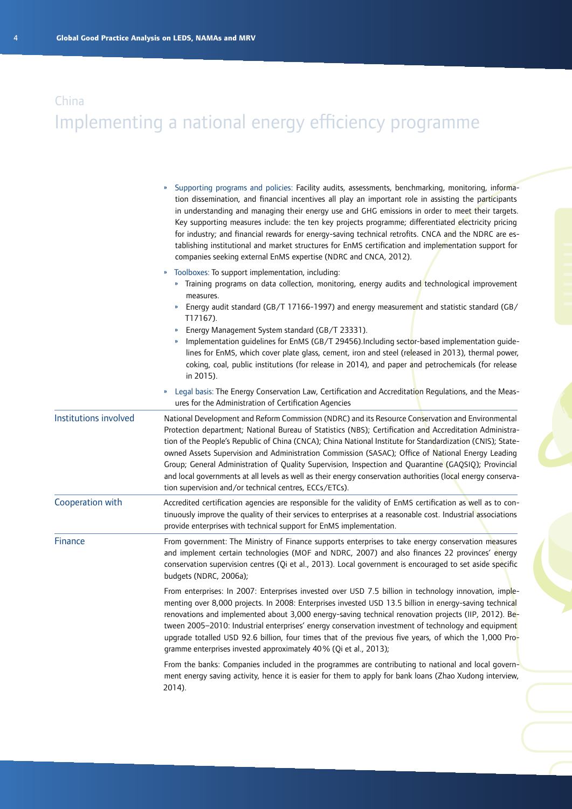# Implementing a national energy efficiency programme

|                       | Supporting programs and policies: Facility audits, assessments, benchmarking, monitoring, informa-<br>tion dissemination, and financial incentives all play an important role in assisting the participants<br>in understanding and managing their energy use and GHG emissions in order to meet their targets.<br>Key supporting measures include: the ten key projects programme; differentiated electricity pricing<br>for industry; and financial rewards for energy-saving technical retrofits. CNCA and the NDRC are es-<br>tablishing institutional and market structures for EnMS certification and implementation support for<br>companies seeking external EnMS expertise (NDRC and CNCA, 2012).        |
|-----------------------|-------------------------------------------------------------------------------------------------------------------------------------------------------------------------------------------------------------------------------------------------------------------------------------------------------------------------------------------------------------------------------------------------------------------------------------------------------------------------------------------------------------------------------------------------------------------------------------------------------------------------------------------------------------------------------------------------------------------|
|                       | Toolboxes: To support implementation, including:<br>»<br>» Training programs on data collection, monitoring, energy audits and technological improvement<br>measures.<br>Energy audit standard (GB/T 17166-1997) and energy measurement and statistic standard (GB/<br>T17167).<br>Energy Management System standard (GB/T 23331).<br>Implementation guidelines for EnMS (GB/T 29456).Including sector-based implementation guide-<br>lines for EnMS, which cover plate glass, cement, iron and steel (released in 2013), thermal power,<br>coking, coal, public institutions (for release in 2014), and paper and petrochemicals (for release<br>in 2015).                                                       |
|                       | Legal basis: The Energy Conservation Law, Certification and Accreditation Regulations, and the Meas-<br>$\boldsymbol{\mathcal{V}}$<br>ures for the Administration of Certification Agencies                                                                                                                                                                                                                                                                                                                                                                                                                                                                                                                       |
| Institutions involved | National Development and Reform Commission (NDRC) and its Resource Conservation and Environmental<br>Protection department; National Bureau of Statistics (NBS); Certification and Accreditation Administra-<br>tion of the People's Republic of China (CNCA); China National Institute for Standardization (CNIS); State-<br>owned Assets Supervision and Administration Commission (SASAC); Office of National Energy Leading<br>Group; General Administration of Quality Supervision, Inspection and Quarantine (GAQSIQ); Provincial<br>and local governments at all levels as well as their energy conservation authorities (local energy conserva-<br>tion supervision and/or technical centres, ECCs/ETCs). |
| Cooperation with      | Accredited certification agencies are responsible for the validity of EnMS certification as well as to con-<br>tinuously improve the quality of their services to enterprises at a reasonable cost. Industrial associations<br>provide enterprises with technical support for EnMS implementation.                                                                                                                                                                                                                                                                                                                                                                                                                |
| Finance               | From government: The Ministry of Finance supports enterprises to take energy conservation measures<br>and implement certain technologies (MOF and NDRC, 2007) and also finances 22 provinces' energy<br>conservation supervision centres (Qi et al., 2013). Local government is encouraged to set aside specific<br>budgets (NDRC, 2006a);                                                                                                                                                                                                                                                                                                                                                                        |
|                       | From enterprises: In 2007: Enterprises invested over USD 7.5 billion in technology innovation, imple-<br>menting over 8,000 projects. In 2008: Enterprises invested USD 13.5 billion in energy-saving technical<br>renovations and implemented about 3,000 energy-saving technical renovation projects (IIP, 2012). Be-<br>tween 2005-2010: Industrial enterprises' energy conservation investment of technology and equipment<br>upgrade totalled USD 92.6 billion, four times that of the previous five years, of which the 1,000 Pro-<br>gramme enterprises invested approximately 40% (Qi et al., 2013);                                                                                                      |
|                       | From the banks: Companies included in the programmes are contributing to national and local govern-<br>ment energy saving activity, hence it is easier for them to apply for bank loans (Zhao Xudong interview,<br>2014).                                                                                                                                                                                                                                                                                                                                                                                                                                                                                         |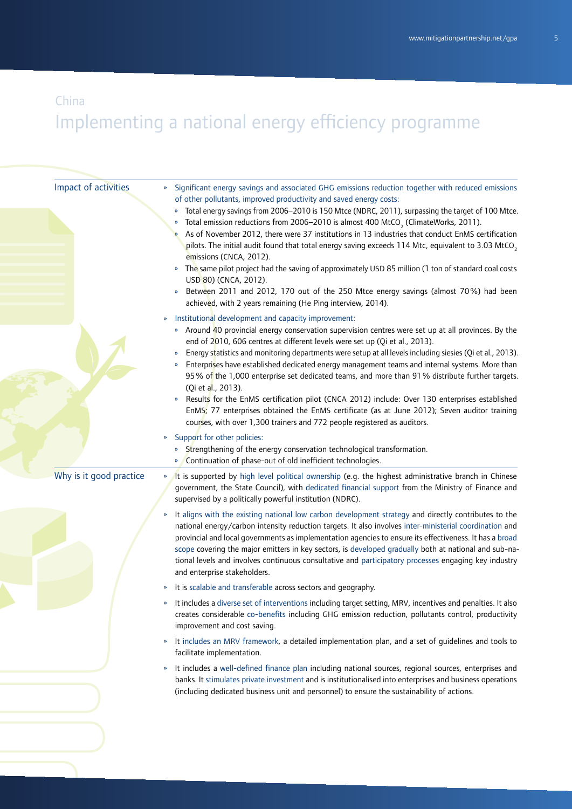# Implementing a national energy efficiency programme

| Impact of activities    | Significant energy savings and associated GHG emissions reduction together with reduced emissions<br>»<br>of other pollutants, improved productivity and saved energy costs:<br>Total energy savings from 2006-2010 is 150 Mtce (NDRC, 2011), surpassing the target of 100 Mtce.<br>Total emission reductions from 2006-2010 is almost 400 MtCO <sub>2</sub> (ClimateWorks, 2011).<br>As of November 2012, there were 37 institutions in 13 industries that conduct EnMS certification<br>pilots. The initial audit found that total energy saving exceeds 114 Mtc, equivalent to 3.03 MtCO,<br>emissions (CNCA, 2012).<br>The same pilot project had the saving of approximately USD 85 million (1 ton of standard coal costs<br>USD 80) (CNCA, 2012).<br>Between 2011 and 2012, 170 out of the 250 Mtce energy savings (almost 70%) had been<br>achieved, with 2 years remaining (He Ping interview, 2014).<br>Institutional development and capacity improvement:<br>$\boldsymbol{\mathcal{V}}$<br>» Around 40 provincial energy conservation supervision centres were set up at all provinces. By the<br>end of 2010, 606 centres at different levels were set up (Qi et al., 2013).<br>Energy statistics and monitoring departments were setup at all levels including siesies (Qi et al., 2013).<br>Enterprises have established dedicated energy management teams and internal systems. More than<br>$\boldsymbol{\mathcal{Y}}$<br>95% of the 1,000 enterprise set dedicated teams, and more than 91% distribute further targets.<br>(Qi et al., 2013).<br>Results for the EnMS certification pilot (CNCA 2012) include: Over 130 enterprises established<br>EnMS; 77 enterprises obtained the EnMS certificate (as at June 2012); Seven auditor training<br>courses, with over 1,300 trainers and 772 people registered as auditors.<br>Support for other policies:<br>» |
|-------------------------|----------------------------------------------------------------------------------------------------------------------------------------------------------------------------------------------------------------------------------------------------------------------------------------------------------------------------------------------------------------------------------------------------------------------------------------------------------------------------------------------------------------------------------------------------------------------------------------------------------------------------------------------------------------------------------------------------------------------------------------------------------------------------------------------------------------------------------------------------------------------------------------------------------------------------------------------------------------------------------------------------------------------------------------------------------------------------------------------------------------------------------------------------------------------------------------------------------------------------------------------------------------------------------------------------------------------------------------------------------------------------------------------------------------------------------------------------------------------------------------------------------------------------------------------------------------------------------------------------------------------------------------------------------------------------------------------------------------------------------------------------------------------------------------------------------------------------------------------------------------------------------|
|                         | Strengthening of the energy conservation technological transformation.<br>»<br>Continuation of phase-out of old inefficient technologies.<br>»                                                                                                                                                                                                                                                                                                                                                                                                                                                                                                                                                                                                                                                                                                                                                                                                                                                                                                                                                                                                                                                                                                                                                                                                                                                                                                                                                                                                                                                                                                                                                                                                                                                                                                                                   |
| Why is it good practice | It is supported by high level political ownership (e.g. the highest administrative branch in Chinese<br>»<br>government, the State Council), with dedicated financial support from the Ministry of Finance and<br>supervised by a politically powerful institution (NDRC).                                                                                                                                                                                                                                                                                                                                                                                                                                                                                                                                                                                                                                                                                                                                                                                                                                                                                                                                                                                                                                                                                                                                                                                                                                                                                                                                                                                                                                                                                                                                                                                                       |
|                         | It aligns with the existing national low carbon development strategy and directly contributes to the<br>$\boldsymbol{\nu}$<br>national energy/carbon intensity reduction targets. It also involves inter-ministerial coordination and<br>provincial and local governments as implementation agencies to ensure its effectiveness. It has a broad<br>scope covering the major emitters in key sectors, is developed gradually both at national and sub-na-<br>tional levels and involves continuous consultative and participatory processes engaging key industry<br>and enterprise stakeholders.                                                                                                                                                                                                                                                                                                                                                                                                                                                                                                                                                                                                                                                                                                                                                                                                                                                                                                                                                                                                                                                                                                                                                                                                                                                                                |
|                         | It is scalable and transferable across sectors and geography.<br>»                                                                                                                                                                                                                                                                                                                                                                                                                                                                                                                                                                                                                                                                                                                                                                                                                                                                                                                                                                                                                                                                                                                                                                                                                                                                                                                                                                                                                                                                                                                                                                                                                                                                                                                                                                                                               |
|                         | It includes a diverse set of interventions including target setting, MRV, incentives and penalties. It also<br>»<br>creates considerable co-benefits including GHG emission reduction, pollutants control, productivity<br>improvement and cost saving.                                                                                                                                                                                                                                                                                                                                                                                                                                                                                                                                                                                                                                                                                                                                                                                                                                                                                                                                                                                                                                                                                                                                                                                                                                                                                                                                                                                                                                                                                                                                                                                                                          |
|                         | It includes an MRV framework, a detailed implementation plan, and a set of guidelines and tools to<br>»<br>facilitate implementation.                                                                                                                                                                                                                                                                                                                                                                                                                                                                                                                                                                                                                                                                                                                                                                                                                                                                                                                                                                                                                                                                                                                                                                                                                                                                                                                                                                                                                                                                                                                                                                                                                                                                                                                                            |
|                         | It includes a well-defined finance plan including national sources, regional sources, enterprises and<br>»<br>banks. It stimulates private investment and is institutionalised into enterprises and business operations<br>(including dedicated business unit and personnel) to ensure the sustainability of actions.                                                                                                                                                                                                                                                                                                                                                                                                                                                                                                                                                                                                                                                                                                                                                                                                                                                                                                                                                                                                                                                                                                                                                                                                                                                                                                                                                                                                                                                                                                                                                            |
|                         |                                                                                                                                                                                                                                                                                                                                                                                                                                                                                                                                                                                                                                                                                                                                                                                                                                                                                                                                                                                                                                                                                                                                                                                                                                                                                                                                                                                                                                                                                                                                                                                                                                                                                                                                                                                                                                                                                  |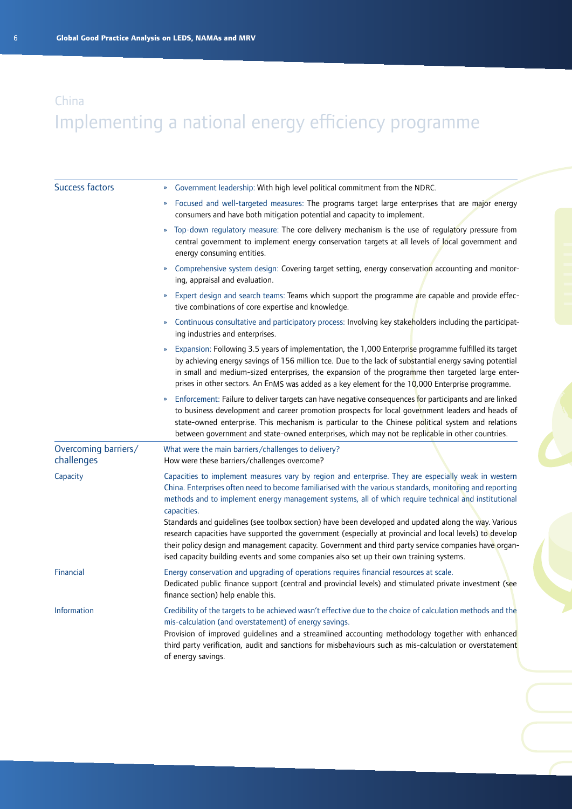| <b>Success factors</b>             | Government leadership: With high level political commitment from the NDRC.<br>${\bf n}$                                                                                                                                                                                                                                                                                                                                                                                                                                                                                                                                                                                                                                                                           |
|------------------------------------|-------------------------------------------------------------------------------------------------------------------------------------------------------------------------------------------------------------------------------------------------------------------------------------------------------------------------------------------------------------------------------------------------------------------------------------------------------------------------------------------------------------------------------------------------------------------------------------------------------------------------------------------------------------------------------------------------------------------------------------------------------------------|
|                                    | Focused and well-targeted measures: The programs target large enterprises that are major energy<br>$\boldsymbol{\mathcal{Y}}$<br>consumers and have both mitigation potential and capacity to implement.                                                                                                                                                                                                                                                                                                                                                                                                                                                                                                                                                          |
|                                    | » Top-down regulatory measure: The core delivery mechanism is the use of regulatory pressure from<br>central government to implement energy conservation targets at all levels of local government and<br>energy consuming entities.                                                                                                                                                                                                                                                                                                                                                                                                                                                                                                                              |
|                                    | Comprehensive system design: Covering target setting, energy conservation accounting and monitor-<br>$\boldsymbol{\mathcal{W}}$<br>ing, appraisal and evaluation.                                                                                                                                                                                                                                                                                                                                                                                                                                                                                                                                                                                                 |
|                                    | Expert design and search teams: Teams which support the programme are capable and provide effec-<br>$\boldsymbol{\mathcal{V}}$<br>tive combinations of core expertise and knowledge.                                                                                                                                                                                                                                                                                                                                                                                                                                                                                                                                                                              |
|                                    | Continuous consultative and participatory process: Involving key stakeholders including the participat-<br>$\mathbf{v}$<br>ing industries and enterprises.                                                                                                                                                                                                                                                                                                                                                                                                                                                                                                                                                                                                        |
|                                    | Expansion: Following 3.5 years of implementation, the 1,000 Enterprise programme fulfilled its target<br>$\boldsymbol{\mathcal{V}}$<br>by achieving energy savings of 156 million tce. Due to the lack of substantial energy saving potential<br>in small and medium-sized enterprises, the expansion of the programme then targeted large enter-<br>prises in other sectors. An EnMS was added as a key element for the 10,000 Enterprise programme.                                                                                                                                                                                                                                                                                                             |
|                                    | Enforcement: Failure to deliver targets can have negative consequences for participants and are linked<br>$\boldsymbol{\mathcal{W}}$<br>to business development and career promotion prospects for local government leaders and heads of<br>state-owned enterprise. This mechanism is particular to the Chinese political system and relations<br>between government and state-owned enterprises, which may not be replicable in other countries.                                                                                                                                                                                                                                                                                                                 |
| Overcoming barriers/<br>challenges | What were the main barriers/challenges to delivery?<br>How were these barriers/challenges overcome?                                                                                                                                                                                                                                                                                                                                                                                                                                                                                                                                                                                                                                                               |
| Capacity                           | Capacities to implement measures vary by region and enterprise. They are especially weak in western<br>China. Enterprises often need to become familiarised with the various standards, monitoring and reporting<br>methods and to implement energy management systems, all of which require technical and institutional<br>capacities.<br>Standards and guidelines (see toolbox section) have been developed and updated along the way. Various<br>research capacities have supported the government (especially at provincial and local levels) to develop<br>their policy design and management capacity. Government and third party service companies have organ-<br>ised capacity building events and some companies also set up their own training systems. |
| Financial                          | Energy conservation and upgrading of operations requires financial resources at scale.<br>Dedicated public finance support (central and provincial levels) and stimulated private investment (see<br>finance section) help enable this.                                                                                                                                                                                                                                                                                                                                                                                                                                                                                                                           |
| <b>Information</b>                 | Credibility of the targets to be achieved wasn't effective due to the choice of calculation methods and the<br>mis-calculation (and overstatement) of energy savings.<br>Provision of improved guidelines and a streamlined accounting methodology together with enhanced<br>third party verification, audit and sanctions for misbehaviours such as mis-calculation or overstatement<br>of energy savings.                                                                                                                                                                                                                                                                                                                                                       |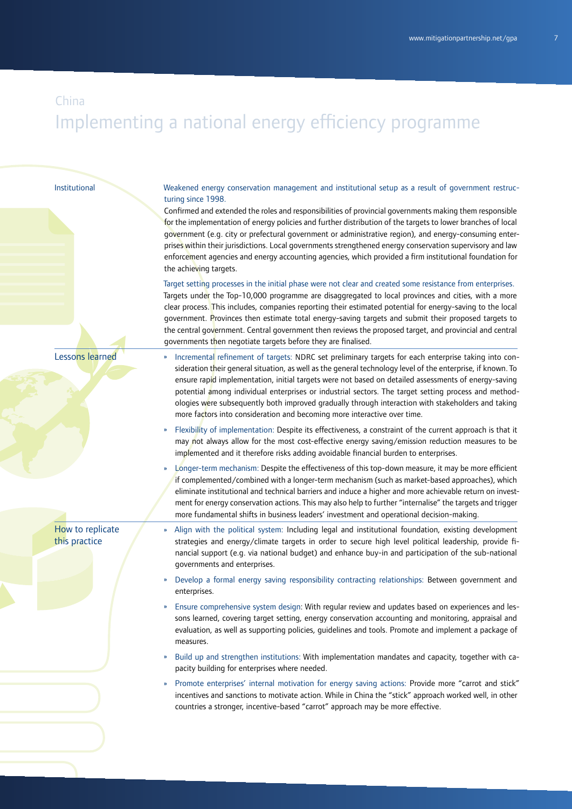#### Institutional

Weakened energy conservation management and institutional setup as a result of government restructuring since 1998.

Confirmed and extended the roles and responsibilities of provincial governments making them responsible for the implementation of energy policies and further distribution of the targets to lower branches of local government (e.g. city or prefectural government or administrative region), and energy-consuming enterprises within their jurisdictions. Local governments strengthened energy conservation supervisory and law enforcement agencies and energy accounting agencies, which provided a firm institutional foundation for the achieving targets.

Target setting processes in the initial phase were not clear and created some resistance from enterprises. Targets under the Top-10,000 programme are disaggregated to local provinces and cities, with a more clear process. This includes, companies reporting their estimated potential for energy-saving to the local government. Provinces then estimate total energy-saving targets and submit their proposed targets to the central government. Central government then reviews the proposed target, and provincial and central governments then negotiate targets before they are finalised.

#### Lessons learned

- » Incremental refinement of targets: NDRC set preliminary targets for each enterprise taking into consideration their general situation, as well as the general technology level of the enterprise, if known. To ensure rapid implementation, initial targets were not based on detailed assessments of energy-saving potential among individual enterprises or industrial sectors. The target setting process and methodologies were subsequently both improved gradually through interaction with stakeholders and taking more factors into consideration and becoming more interactive over time.
- » Flexibility of implementation: Despite its effectiveness, a constraint of the current approach is that it may not always allow for the most cost-effective energy saving/emission reduction measures to be implemented and it therefore risks adding avoidable financial burden to enterprises.
- » Longer-term mechanism: Despite the effectiveness of this top-down measure, it may be more efficient if complemented/combined with a longer-term mechanism (such as market-based approaches), which eliminate institutional and technical barriers and induce a higher and more achievable return on investment for energy conservation actions. This may also help to further "internalise" the targets and trigger more fundamental shifts in business leaders' investment and operational decision-making.
- » Align with the political system: Including legal and institutional foundation, existing development strategies and energy/climate targets in order to secure high level political leadership, provide financial support (e.g. via national budget) and enhance buy-in and participation of the sub-national governments and enterprises.
- » Develop a formal energy saving responsibility contracting relationships: Between government and enterprises.
- » Ensure comprehensive system design: With regular review and updates based on experiences and lessons learned, covering target setting, energy conservation accounting and monitoring, appraisal and evaluation, as well as supporting policies, guidelines and tools. Promote and implement a package of measures.
- » Build up and strengthen institutions: With implementation mandates and capacity, together with capacity building for enterprises where needed.
- » Promote enterprises' internal motivation for energy saving actions: Provide more "carrot and stick" incentives and sanctions to motivate action. While in China the "stick" approach worked well, in other countries a stronger, incentive-based "carrot" approach may be more effective.

How to replicate this practice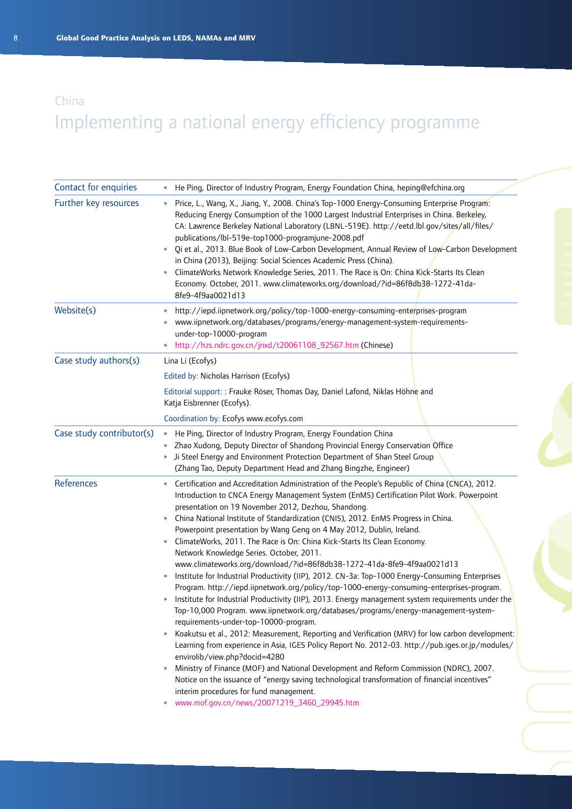| Contact for enquiries     | He Ping, Director of Industry Program, Energy Foundation China, heping@efchina.org<br>»                                                                                                                                                                                                                                                                                                                                                                                                                                                                                                                                                                                                                                                                                                                                                                                                                                                                                                                                                                                                                                                                                                                                                                                                                                                                                                                                                                                                                                                                                                                                                                 |
|---------------------------|---------------------------------------------------------------------------------------------------------------------------------------------------------------------------------------------------------------------------------------------------------------------------------------------------------------------------------------------------------------------------------------------------------------------------------------------------------------------------------------------------------------------------------------------------------------------------------------------------------------------------------------------------------------------------------------------------------------------------------------------------------------------------------------------------------------------------------------------------------------------------------------------------------------------------------------------------------------------------------------------------------------------------------------------------------------------------------------------------------------------------------------------------------------------------------------------------------------------------------------------------------------------------------------------------------------------------------------------------------------------------------------------------------------------------------------------------------------------------------------------------------------------------------------------------------------------------------------------------------------------------------------------------------|
| Further key resources     | Price, L., Wang, X., Jiang, Y., 2008. China's Top-1000 Energy-Consuming Enterprise Program:<br>$\boldsymbol{\mathcal{Y}}$<br>Reducing Energy Consumption of the 1000 Largest Industrial Enterprises in China. Berkeley,<br>CA: Lawrence Berkeley National Laboratory (LBNL-519E). http://eetd.lbl.gov/sites/all/files/<br>publications/lbl-519e-top1000-programjune-2008.pdf<br>Qi et al., 2013. Blue Book of Low-Carbon Development, Annual Review of Low-Carbon Development<br>${\bf n}$<br>in China (2013), Beijing: Social Sciences Academic Press (China).<br>ClimateWorks Network Knowledge Series, 2011. The Race is On: China Kick-Starts Its Clean<br>$\boldsymbol{\mathcal{V}}$<br>Economy. October, 2011. www.climateworks.org/download/?id=86f8db38-1272-41da-<br>8fe9-4f9aa0021d13                                                                                                                                                                                                                                                                                                                                                                                                                                                                                                                                                                                                                                                                                                                                                                                                                                                         |
| Website(s)                | http://iepd.iipnetwork.org/policy/top-1000-energy-consuming-enterprises-program<br>»<br>www.iipnetwork.org/databases/programs/energy-management-system-requirements-<br>under-top-10000-program<br>http://hzs.ndrc.gov.cn/jnxd/t20061108_92567.htm (Chinese)<br>$\boldsymbol{\mathcal{V}}$                                                                                                                                                                                                                                                                                                                                                                                                                                                                                                                                                                                                                                                                                                                                                                                                                                                                                                                                                                                                                                                                                                                                                                                                                                                                                                                                                              |
| Case study authors(s)     | Lina Li (Ecofys)                                                                                                                                                                                                                                                                                                                                                                                                                                                                                                                                                                                                                                                                                                                                                                                                                                                                                                                                                                                                                                                                                                                                                                                                                                                                                                                                                                                                                                                                                                                                                                                                                                        |
|                           | Edited by: Nicholas Harrison (Ecofys)                                                                                                                                                                                                                                                                                                                                                                                                                                                                                                                                                                                                                                                                                                                                                                                                                                                                                                                                                                                                                                                                                                                                                                                                                                                                                                                                                                                                                                                                                                                                                                                                                   |
|                           | Editorial support: : Frauke Röser, Thomas Day, Daniel Lafond, Niklas Höhne and<br>Katja Eisbrenner (Ecofys).                                                                                                                                                                                                                                                                                                                                                                                                                                                                                                                                                                                                                                                                                                                                                                                                                                                                                                                                                                                                                                                                                                                                                                                                                                                                                                                                                                                                                                                                                                                                            |
|                           | Coordination by: Ecofys www.ecofys.com                                                                                                                                                                                                                                                                                                                                                                                                                                                                                                                                                                                                                                                                                                                                                                                                                                                                                                                                                                                                                                                                                                                                                                                                                                                                                                                                                                                                                                                                                                                                                                                                                  |
| Case study contributor(s) | He Ping, Director of Industry Program, Energy Foundation China<br>$\boldsymbol{\mathcal{V}}$<br>Zhao Xudong, Deputy Director of Shandong Provincial Energy Conservation Office<br>» Ji Steel Energy and Environment Protection Department of Shan Steel Group<br>(Zhang Tao, Deputy Department Head and Zhang Bingzhe, Engineer)                                                                                                                                                                                                                                                                                                                                                                                                                                                                                                                                                                                                                                                                                                                                                                                                                                                                                                                                                                                                                                                                                                                                                                                                                                                                                                                        |
| References                | Certification and Accreditation Administration of the People's Republic of China (CNCA), 2012.<br>Introduction to CNCA Energy Management System (EnMS) Certification Pilot Work. Powerpoint<br>presentation on 19 November 2012, Dezhou, Shandong.<br>China National Institute of Standardization (CNIS), 2012. EnMS Progress in China.<br>Powerpoint presentation by Wang Geng on 4 May 2012, Dublin, Ireland.<br>ClimateWorks, 2011. The Race is On: China Kick-Starts Its Clean Economy.<br>Network Knowledge Series. October, 2011.<br>www.climateworks.org/download/?id=86f8db38-1272-41da-8fe9-4f9aa0021d13<br>Institute for Industrial Productivity (IIP), 2012. CN-3a: Top-1000 Energy-Consuming Enterprises<br>»<br>Program. http://iepd.iipnetwork.org/policy/top-1000-energy-consuming-enterprises-program.<br>Institute for Industrial Productivity (IIP), 2013. Energy management system requirements under the<br>Top-10,000 Program. www.iipnetwork.org/databases/programs/energy-management-system-<br>requirements-under-top-10000-program.<br>Koakutsu et al., 2012: Measurement, Reporting and Verification (MRV) for low carbon development:<br>$\boldsymbol{\mathcal{V}}$<br>Learning from experience in Asia, IGES Policy Report No. 2012-03. http://pub.iges.or.jp/modules/<br>envirolib/view.php?docid=4280<br>Ministry of Finance (MOF) and National Development and Reform Commission (NDRC), 2007.<br>$\boldsymbol{\mathcal{Y}}$<br>Notice on the issuance of "energy saving technological transformation of financial incentives"<br>interim procedures for fund management.<br>www.mof.gov.cn/news/20071219_3460_29945.htm |